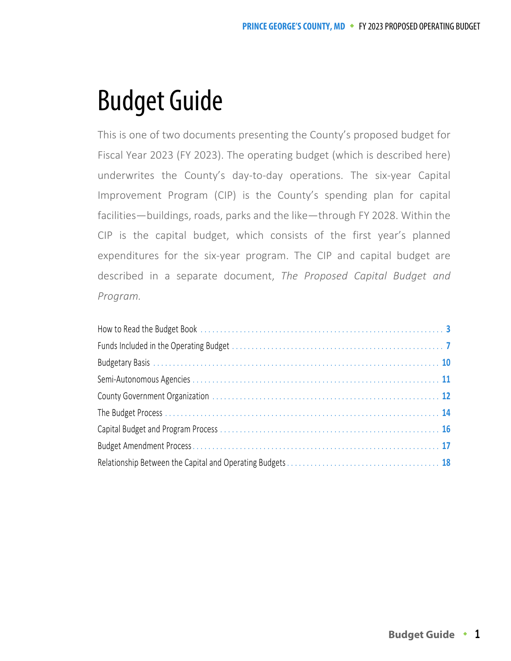# Budget Guide

This is one of two documents presenting the County's proposed budget for Fiscal Year 2023 (FY 2023). The operating budget (which is described here) underwrites the County's day-to-day operations. The six-year Capital Improvement Program (CIP) is the County's spending plan for capital facilities—buildings, roads, parks and the like—through FY 2028. Within the CIP is the capital budget, which consists of the first year's planned expenditures for the six-year program. The CIP and capital budget are described in a separate document, *The Proposed Capital Budget and Program.*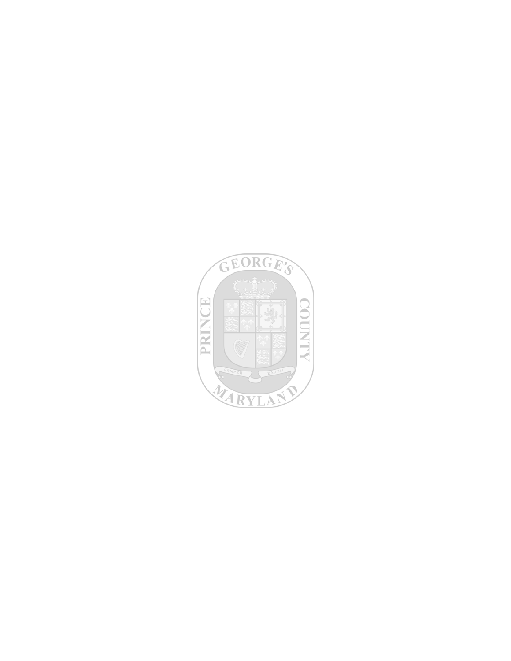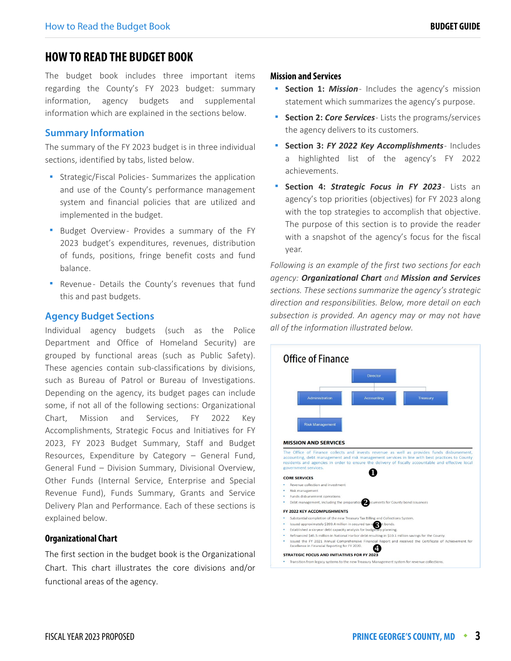### <span id="page-2-0"></span>**HOW TO READ THE BUDGET BOOK**

The budget book includes three important items regarding the County's FY 2023 budget: summary information, agency budgets and supplemental information which are explained in the sections below.

#### **Summary Information**

The summary of the FY 2023 budget is in three individual sections, identified by tabs, listed below.

- **Strategic/Fiscal Policies Summarizes the application** and use of the County's performance management system and financial policies that are utilized and implemented in the budget.
- **Budget Overview Provides a summary of the FY** 2023 budget's expenditures, revenues, distribution of funds, positions, fringe benefit costs and fund balance.
- **-** Revenue- Details the County's revenues that fund this and past budgets.

#### **Agency Budget Sections**

Individual agency budgets (such as the Police Department and Office of Homeland Security) are grouped by functional areas (such as Public Safety). These agencies contain sub-classifications by divisions, such as Bureau of Patrol or Bureau of Investigations. Depending on the agency, its budget pages can include some, if not all of the following sections: Organizational Chart, Mission and Services, FY 2022 Key Accomplishments, Strategic Focus and Initiatives for FY 2023, FY 2023 Budget Summary, Staff and Budget Resources, Expenditure by Category – General Fund, General Fund – Division Summary, Divisional Overview, Other Funds (Internal Service, Enterprise and Special Revenue Fund), Funds Summary, Grants and Service Delivery Plan and Performance. Each of these sections is explained below.

#### **Organizational Chart**

The first section in the budget book is the Organizational Chart. This chart illustrates the core divisions and/or functional areas of the agency.

#### **Mission and Services**

- **Section 1: Mission** Includes the agency's mission statement which summarizes the agency's purpose.
- **Section 2: Core Services** Lists the programs/services the agency delivers to its customers.
- **Section 3: FY 2022 Key Accomplishments** Includes a highlighted list of the agency's FY 2022 achievements.
- **Section 4: Strategic Focus in FY 2023** Lists an agency's top priorities (objectives) for FY 2023 along with the top strategies to accomplish that objective. The purpose of this section is to provide the reader with a snapshot of the agency's focus for the fiscal year.

*Following is an example of the first two sections for each agency: Organizational Chart and Mission and Services sections. These sections summarize the agency's strategic direction and responsibilities. Below, more detail on each subsection is provided. An agency may or may not have all of the information illustrated below.*

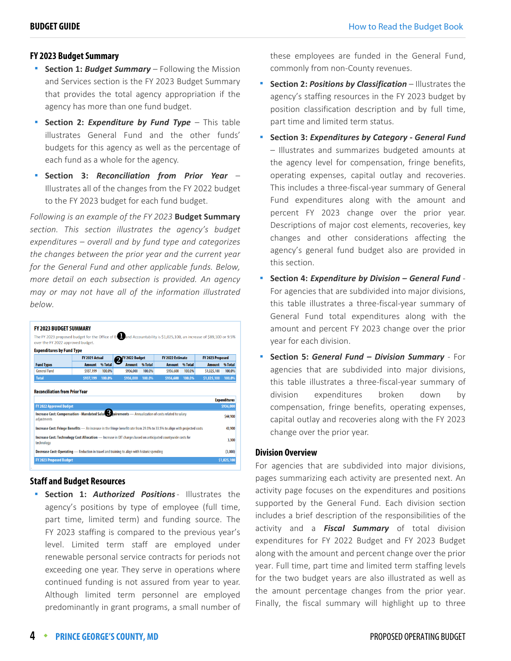#### **FY 2023 Budget Summary**

- **Section 1:** *Budget Summary* Following the Mission and Services section is the FY 2023 Budget Summary that provides the total agency appropriation if the agency has more than one fund budget.
- **Section 2:** *Expenditure by Fund Type* This table illustrates General Fund and the other funds' budgets for this agency as well as the percentage of each fund as a whole for the agency.
- **Section 3:** *Reconciliation from Prior Year* Illustrates all of the changes from the FY 2022 budget to the FY 2023 budget for each fund budget.

*Following is an example of the FY 2023* **Budget Summary** *section. This section illustrates the agency's budget expenditures – overall and by fund type and categorizes the changes between the prior year and the current year for the General Fund and other applicable funds. Below, more detail on each subsection is provided. An agency may or may not have all of the information illustrated below.*

| <b>Expenditures by Fund Type</b>                                                                                                                                                                                                                                                                                                                                                                                                                    | FY 2021 Actual |         |                                 |         | FY 2022 Estimate |         |                                   |                                              |
|-----------------------------------------------------------------------------------------------------------------------------------------------------------------------------------------------------------------------------------------------------------------------------------------------------------------------------------------------------------------------------------------------------------------------------------------------------|----------------|---------|---------------------------------|---------|------------------|---------|-----------------------------------|----------------------------------------------|
| <b>Fund Types</b>                                                                                                                                                                                                                                                                                                                                                                                                                                   | <b>Amount</b>  | % Total | PY 2022 Budget<br><b>Amount</b> | % Total | <b>Amount</b>    | % Total | FY 2023 Proposed<br><b>Amount</b> | % Total                                      |
| <b>General Fund</b>                                                                                                                                                                                                                                                                                                                                                                                                                                 | \$937.199      | 100.0%  | \$936,000                       | 100.0%  | \$956,600        | 100.0%  | \$1,025,100                       | 100.0%                                       |
| <b>Total</b>                                                                                                                                                                                                                                                                                                                                                                                                                                        | \$937.199      | 100.0%  | \$936.000                       | 100.0%  | \$956,600        | 100.0%  | \$1,025,100                       | 100.0%                                       |
|                                                                                                                                                                                                                                                                                                                                                                                                                                                     |                |         |                                 |         |                  |         |                                   |                                              |
|                                                                                                                                                                                                                                                                                                                                                                                                                                                     |                |         |                                 |         |                  |         |                                   |                                              |
|                                                                                                                                                                                                                                                                                                                                                                                                                                                     |                |         |                                 |         |                  |         |                                   | <b>Expenditures</b><br>\$936,000<br>\$44,900 |
|                                                                                                                                                                                                                                                                                                                                                                                                                                                     |                |         |                                 |         |                  |         |                                   |                                              |
| <b>Reconciliation from Prior Year</b><br>FY 2022 Approved Budget<br>Increase Cost: Compensation - Mandated Salar Sequirements - Annualization of costs related to salary<br>adjustments<br>Increase Cost: Fringe Benefits - An increase in the fringe benefit rate from 29.0% to 33.5% to align with projected costs<br>Increase Cost: Technology Cost Allocation - Increase in OIT charges based on anticipated countywide costs for<br>technology |                |         |                                 |         |                  |         |                                   | 43,900<br>3.300                              |
| Decrease Cost: Operating - Reduction in travel and training to align with historic spending                                                                                                                                                                                                                                                                                                                                                         |                |         |                                 |         |                  |         |                                   | (3,000)                                      |

#### **Staff and Budget Resources**

 **Section 1:** *Authorized Positions* - Illustrates the agency's positions by type of employee (full time, part time, limited term) and funding source. The FY 2023 staffing is compared to the previous year's level. Limited term staff are employed under renewable personal service contracts for periods not exceeding one year. They serve in operations where continued funding is not assured from year to year. Although limited term personnel are employed predominantly in grant programs, a small number of these employees are funded in the General Fund, commonly from non-County revenues.

- **Section 2:** *Positions by Classification* Illustrates the agency's staffing resources in the FY 2023 budget by position classification description and by full time, part time and limited term status.
- **Section 3:** *Expenditures by Category General Fund –* Illustrates and summarizes budgeted amounts at the agency level for compensation, fringe benefits, operating expenses, capital outlay and recoveries. This includes a three-fiscal-year summary of General Fund expenditures along with the amount and percent FY 2023 change over the prior year. Descriptions of major cost elements, recoveries, key changes and other considerations affecting the agency's general fund budget also are provided in this section.
- **Section 4:** *Expenditure by Division General Fund* For agencies that are subdivided into major divisions, this table illustrates a three-fiscal-year summary of General Fund total expenditures along with the amount and percent FY 2023 change over the prior year for each division.
- **Section 5:** *General Fund Division Summary* For agencies that are subdivided into major divisions, this table illustrates a three-fiscal-year summary of division expenditures broken down by compensation, fringe benefits, operating expenses, capital outlay and recoveries along with the FY 2023 change over the prior year.

#### **Division Overview**

For agencies that are subdivided into major divisions, pages summarizing each activity are presented next. An activity page focuses on the expenditures and positions supported by the General Fund. Each division section includes a brief description of the responsibilities of the activity and a *Fiscal Summary* of total division expenditures for FY 2022 Budget and FY 2023 Budget along with the amount and percent change over the prior year. Full time, part time and limited term staffing levels for the two budget years are also illustrated as well as the amount percentage changes from the prior year. Finally, the fiscal summary will highlight up to three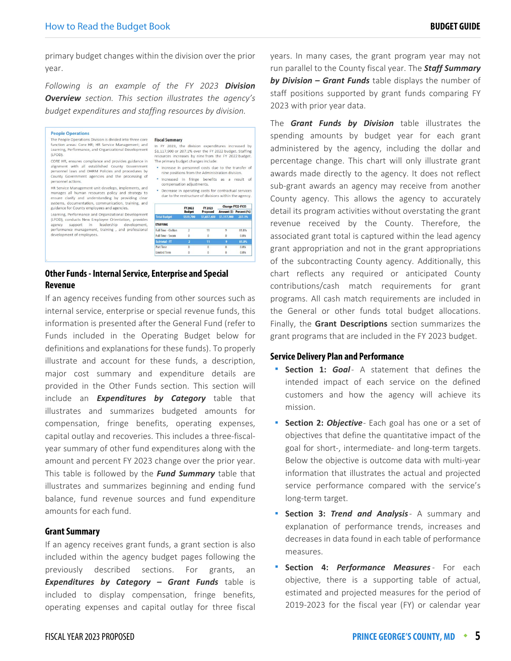primary budget changes within the division over the prior year.

*Following is an example of the FY 2023 Division Overview section. This section illustrates the agency's budget expenditures and staffing resources by division.*



#### **Other Funds - Internal Service, Enterprise and Special Revenue**

If an agency receives funding from other sources such as internal service, enterprise or special revenue funds, this information is presented after the General Fund (refer to Funds included in the Operating Budget below for definitions and explanations for these funds). To properly illustrate and account for these funds, a description, major cost summary and expenditure details are provided in the Other Funds section. This section will include an *Expenditures by Category* table that illustrates and summarizes budgeted amounts for compensation, fringe benefits, operating expenses, capital outlay and recoveries. This includes a three-fiscalyear summary of other fund expenditures along with the amount and percent FY 2023 change over the prior year. This table is followed by the *Fund Summary* table that illustrates and summarizes beginning and ending fund balance, fund revenue sources and fund expenditure amounts for each fund.

#### **Grant Summary**

If an agency receives grant funds, a grant section is also included within the agency budget pages following the previously described sections. For grants, an *Expenditures by Category – Grant Funds* table is included to display compensation, fringe benefits, operating expenses and capital outlay for three fiscal

years. In many cases, the grant program year may not run parallel to the County fiscal year. The *Staff Summary by Division – Grant Funds* table displays the number of staff positions supported by grant funds comparing FY 2023 with prior year data.

The *Grant Funds by Division* table illustrates the spending amounts by budget year for each grant administered by the agency, including the dollar and percentage change. This chart will only illustrate grant awards made directly to the agency. It does not reflect sub-grant awards an agency may receive from another County agency. This allows the agency to accurately detail its program activities without overstating the grant revenue received by the County. Therefore, the associated grant total is captured within the lead agency grant appropriation and not in the grant appropriations of the subcontracting County agency. Additionally, this chart reflects any required or anticipated County contributions/cash match requirements for grant programs. All cash match requirements are included in the General or other funds total budget allocations. Finally, the **Grant Descriptions** section summarizes the grant programs that are included in the FY 2023 budget.

#### **Service Delivery Plan and Performance**

- **Section 1: Goal** A statement that defines the intended impact of each service on the defined customers and how the agency will achieve its mission.
- **Section 2: Objective** Each goal has one or a set of objectives that define the quantitative impact of the goal for short-, intermediate- and long-term targets. Below the objective is outcome data with multi-year information that illustrates the actual and projected service performance compared with the service's long-term target.
- **Section 3:** *Trend and Analysis* A summary and explanation of performance trends, increases and decreases in data found in each table of performance measures.
- **Section 4: Performance Measures** For each objective, there is a supporting table of actual, estimated and projected measures for the period of 2019-2023 for the fiscal year (FY) or calendar year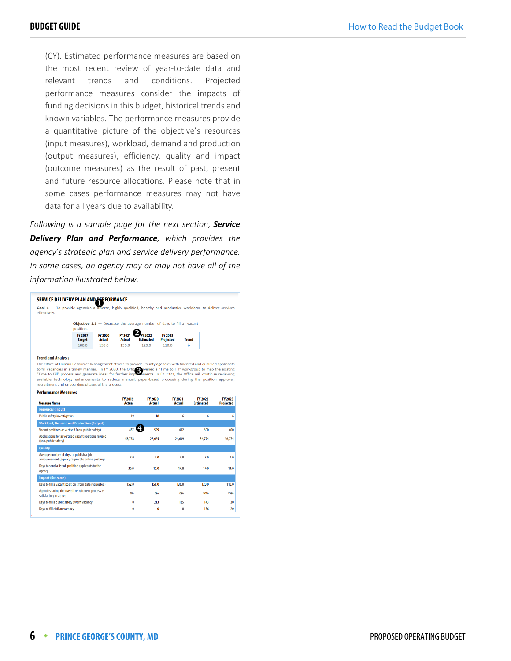(CY). Estimated performance measures are based on the most recent review of year-to-date data and relevant trends and conditions. Projected performance measures consider the impacts of funding decisions in this budget, historical trends and known variables. The performance measures provide a quantitative picture of the objective's resources (input measures), workload, demand and production (output measures), efficiency, quality and impact (outcome measures) as the result of past, present and future resource allocations. Please note that in some cases performance measures may not have data for all years due to availability.

*Following is a sample page for the next section, Service Delivery Plan and Performance, which provides the agency's strategic plan and service delivery performance. In some cases, an agency may or may not have all of the information illustrated below.*

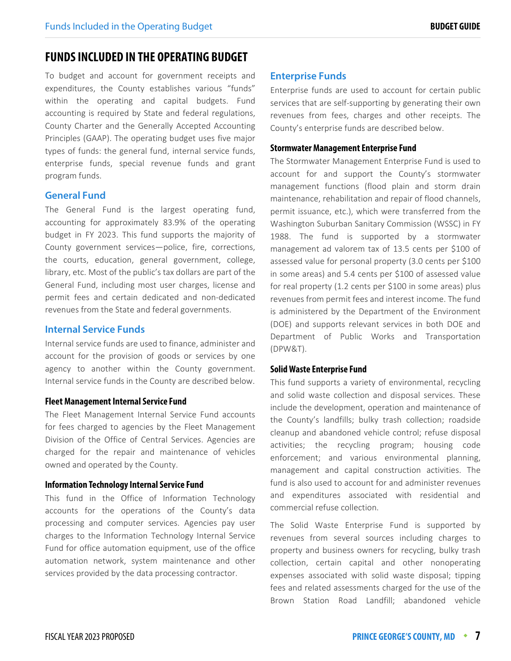## <span id="page-6-0"></span>**FUNDS INCLUDED IN THE OPERATING BUDGET**

To budget and account for government receipts and expenditures, the County establishes various "funds" within the operating and capital budgets. Fund accounting is required by State and federal regulations, County Charter and the Generally Accepted Accounting Principles (GAAP). The operating budget uses five major types of funds: the general fund, internal service funds, enterprise funds, special revenue funds and grant program funds.

#### **General Fund**

The General Fund is the largest operating fund, accounting for approximately 83.9% of the operating budget in FY 2023. This fund supports the majority of County government services—police, fire, corrections, the courts, education, general government, college, library, etc. Most of the public's tax dollars are part of the General Fund, including most user charges, license and permit fees and certain dedicated and non-dedicated revenues from the State and federal governments.

#### **Internal Service Funds**

Internal service funds are used to finance, administer and account for the provision of goods or services by one agency to another within the County government. Internal service funds in the County are described below.

#### **Fleet Management Internal Service Fund**

The Fleet Management Internal Service Fund accounts for fees charged to agencies by the Fleet Management Division of the Office of Central Services. Agencies are charged for the repair and maintenance of vehicles owned and operated by the County.

#### **Information Technology Internal Service Fund**

This fund in the Office of Information Technology accounts for the operations of the County's data processing and computer services. Agencies pay user charges to the Information Technology Internal Service Fund for office automation equipment, use of the office automation network, system maintenance and other services provided by the data processing contractor.

#### **Enterprise Funds**

Enterprise funds are used to account for certain public services that are self-supporting by generating their own revenues from fees, charges and other receipts. The County's enterprise funds are described below.

#### **Stormwater Management Enterprise Fund**

The Stormwater Management Enterprise Fund is used to account for and support the County's stormwater management functions (flood plain and storm drain maintenance, rehabilitation and repair of flood channels, permit issuance, etc.), which were transferred from the Washington Suburban Sanitary Commission (WSSC) in FY 1988. The fund is supported by a stormwater management ad valorem tax of 13.5 cents per \$100 of assessed value for personal property (3.0 cents per \$100 in some areas) and 5.4 cents per \$100 of assessed value for real property (1.2 cents per \$100 in some areas) plus revenues from permit fees and interest income. The fund is administered by the Department of the Environment (DOE) and supports relevant services in both DOE and Department of Public Works and Transportation (DPW&T).

#### **Solid Waste Enterprise Fund**

This fund supports a variety of environmental, recycling and solid waste collection and disposal services. These include the development, operation and maintenance of the County's landfills; bulky trash collection; roadside cleanup and abandoned vehicle control; refuse disposal activities; the recycling program; housing code enforcement; and various environmental planning, management and capital construction activities. The fund is also used to account for and administer revenues and expenditures associated with residential and commercial refuse collection.

The Solid Waste Enterprise Fund is supported by revenues from several sources including charges to property and business owners for recycling, bulky trash collection, certain capital and other nonoperating expenses associated with solid waste disposal; tipping fees and related assessments charged for the use of the Brown Station Road Landfill; abandoned vehicle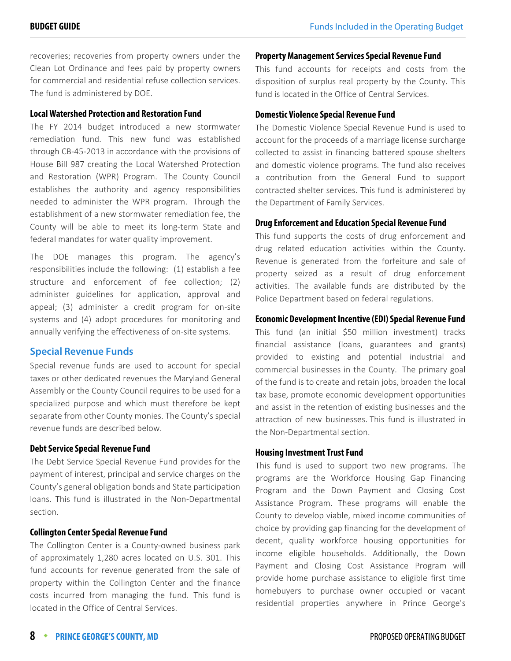recoveries; recoveries from property owners under the Clean Lot Ordinance and fees paid by property owners for commercial and residential refuse collection services. The fund is administered by DOE.

#### **Local Watershed Protection and Restoration Fund**

The FY 2014 budget introduced a new stormwater remediation fund. This new fund was established through CB-45-2013 in accordance with the provisions of House Bill 987 creating the Local Watershed Protection and Restoration (WPR) Program. The County Council establishes the authority and agency responsibilities needed to administer the WPR program. Through the establishment of a new stormwater remediation fee, the County will be able to meet its long-term State and federal mandates for water quality improvement.

The DOE manages this program. The agency's responsibilities include the following: (1) establish a fee structure and enforcement of fee collection; (2) administer guidelines for application, approval and appeal; (3) administer a credit program for on-site systems and (4) adopt procedures for monitoring and annually verifying the effectiveness of on-site systems.

#### **Special Revenue Funds**

Special revenue funds are used to account for special taxes or other dedicated revenues the Maryland General Assembly or the County Council requires to be used for a specialized purpose and which must therefore be kept separate from other County monies. The County's special revenue funds are described below.

#### **Debt Service Special Revenue Fund**

The Debt Service Special Revenue Fund provides for the payment of interest, principal and service charges on the County's general obligation bonds and State participation loans. This fund is illustrated in the Non-Departmental section.

#### **Collington Center Special Revenue Fund**

The Collington Center is a County-owned business park of approximately 1,280 acres located on U.S. 301. This fund accounts for revenue generated from the sale of property within the Collington Center and the finance costs incurred from managing the fund. This fund is located in the Office of Central Services.

#### **Property Management Services Special Revenue Fund**

This fund accounts for receipts and costs from the disposition of surplus real property by the County. This fund is located in the Office of Central Services.

#### **Domestic Violence Special Revenue Fund**

The Domestic Violence Special Revenue Fund is used to account for the proceeds of a marriage license surcharge collected to assist in financing battered spouse shelters and domestic violence programs. The fund also receives a contribution from the General Fund to support contracted shelter services. This fund is administered by the Department of Family Services.

#### **Drug Enforcement and Education Special Revenue Fund**

This fund supports the costs of drug enforcement and drug related education activities within the County. Revenue is generated from the forfeiture and sale of property seized as a result of drug enforcement activities. The available funds are distributed by the Police Department based on federal regulations.

#### **Economic Development Incentive (EDI) Special Revenue Fund**

This fund (an initial \$50 million investment) tracks financial assistance (loans, guarantees and grants) provided to existing and potential industrial and commercial businesses in the County. The primary goal of the fund is to create and retain jobs, broaden the local tax base, promote economic development opportunities and assist in the retention of existing businesses and the attraction of new businesses. This fund is illustrated in the Non-Departmental section.

#### **Housing Investment Trust Fund**

This fund is used to support two new programs. The programs are the Workforce Housing Gap Financing Program and the Down Payment and Closing Cost Assistance Program. These programs will enable the County to develop viable, mixed income communities of choice by providing gap financing for the development of decent, quality workforce housing opportunities for income eligible households. Additionally, the Down Payment and Closing Cost Assistance Program will provide home purchase assistance to eligible first time homebuyers to purchase owner occupied or vacant residential properties anywhere in Prince George's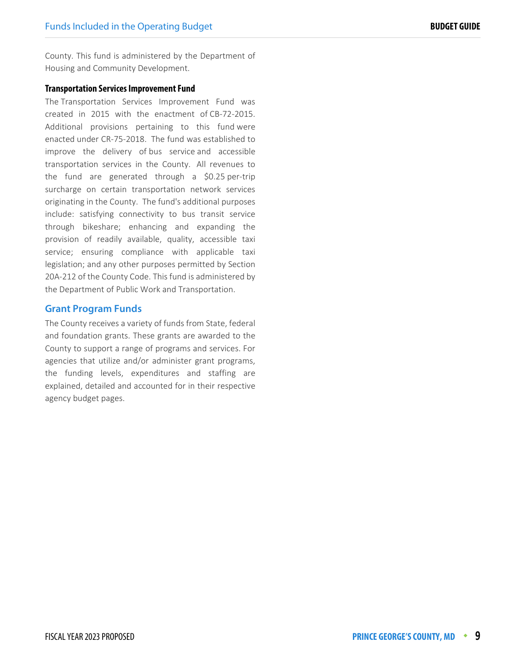County. This fund is administered by the Department of Housing and Community Development.

#### **Transportation Services Improvement Fund**

The Transportation Services Improvement Fund was created in 2015 with the enactment of CB-72-2015. Additional provisions pertaining to this fund were enacted under CR-75-2018. The fund was established to improve the delivery of bus service and accessible transportation services in the County. All revenues to the fund are generated through a \$0.25 per-trip surcharge on certain transportation network services originating in the County. The fund's additional purposes include: satisfying connectivity to bus transit service through bikeshare; enhancing and expanding the provision of readily available, quality, accessible taxi service; ensuring compliance with applicable taxi legislation; and any other purposes permitted by Section 20A-212 of the County Code. This fund is administered by the Department of Public Work and Transportation.

#### **Grant Program Funds**

The County receives a variety of funds from State, federal and foundation grants. These grants are awarded to the County to support a range of programs and services. For agencies that utilize and/or administer grant programs, the funding levels, expenditures and staffing are explained, detailed and accounted for in their respective agency budget pages.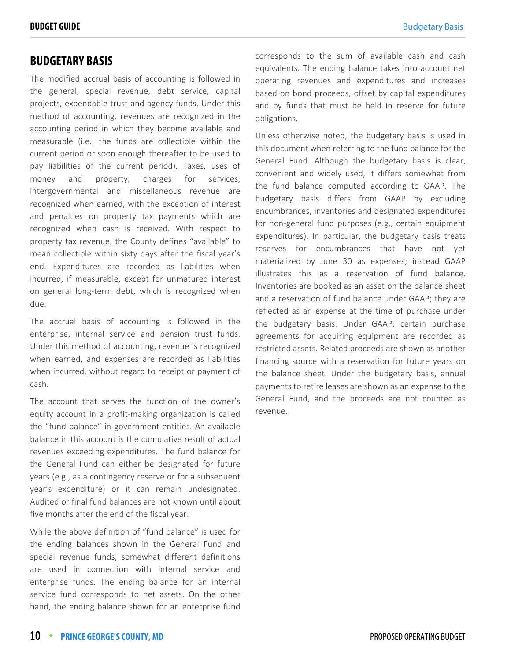## <span id="page-9-0"></span>**BUDGETARY BASIS**

The modified accrual basis of accounting is followed in the general, special revenue, debt service, capital projects, expendable trust and agency funds. Under this method of accounting, revenues are recognized in the accounting period in which they become available and measurable (i.e., the funds are collectible within the current period or soon enough thereafter to be used to pay liabilities of the current period). Taxes, uses of money and property, charges for services, intergovernmental and miscellaneous revenue are recognized when earned, with the exception of interest and penalties on property tax payments which are recognized when cash is received. With respect to property tax revenue, the County defines "available" to mean collectible within sixty days after the fiscal year's end. Expenditures are recorded as liabilities when incurred, if measurable, except for unmatured interest on general long-term debt, which is recognized when due.

The accrual basis of accounting is followed in the enterprise, internal service and pension trust funds. Under this method of accounting, revenue is recognized when earned, and expenses are recorded as liabilities when incurred, without regard to receipt or payment of cash.

The account that serves the function of the owner's equity account in a profit-making organization is called the "fund balance" in government entities. An available balance in this account is the cumulative result of actual revenues exceeding expenditures. The fund balance for the General Fund can either be designated for future years (e.g., as a contingency reserve or for a subsequent year's expenditure) or it can remain undesignated. Audited or final fund balances are not known until about five months after the end of the fiscal year.

While the above definition of "fund balance" is used for the ending balances shown in the General Fund and special revenue funds, somewhat different definitions are used in connection with internal service and enterprise funds. The ending balance for an internal service fund corresponds to net assets. On the other hand, the ending balance shown for an enterprise fund

corresponds to the sum of available cash and cash equivalents. The ending balance takes into account net operating revenues and expenditures and increases based on bond proceeds, offset by capital expenditures and by funds that must be held in reserve for future obligations.

Unless otherwise noted, the budgetary basis is used in this document when referring to the fund balance for the General Fund. Although the budgetary basis is clear, convenient and widely used, it differs somewhat from the fund balance computed according to GAAP. The budgetary basis differs from GAAP by excluding encumbrances, inventories and designated expenditures for non-general fund purposes (e.g., certain equipment expenditures). In particular, the budgetary basis treats reserves for encumbrances that have not yet materialized by June 30 as expenses; instead GAAP illustrates this as a reservation of fund balance. Inventories are booked as an asset on the balance sheet and a reservation of fund balance under GAAP; they are reflected as an expense at the time of purchase under the budgetary basis. Under GAAP, certain purchase agreements for acquiring equipment are recorded as restricted assets. Related proceeds are shown as another financing source with a reservation for future years on the balance sheet. Under the budgetary basis, annual payments to retire leases are shown as an expense to the General Fund, and the proceeds are not counted as revenue.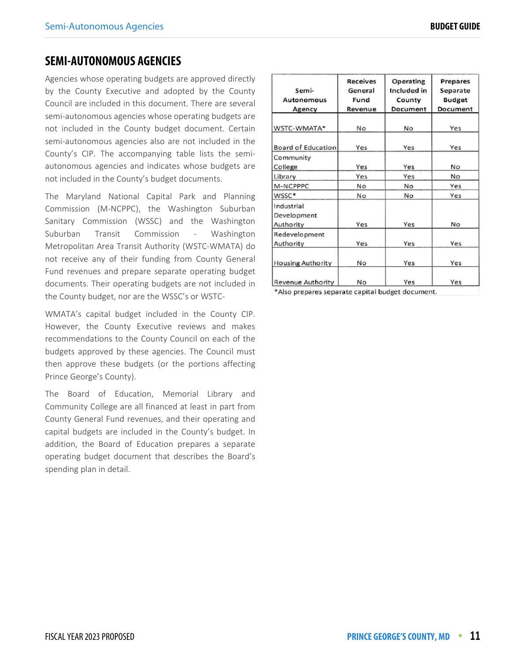## <span id="page-10-0"></span>**SEMI-AUTONOMOUS AGENCIES**

Agencies whose operating budgets are approved directly by the County Executive and adopted by the County Council are included in this document. There are several semi-autonomous agencies whose operating budgets are not included in the County budget document. Certain semi-autonomous agencies also are not included in the County's CIP. The accompanying table lists the semiautonomous agencies and indicates whose budgets are not included in the County's budget documents.

The Maryland National Capital Park and Planning Commission (M-NCPPC), the Washington Suburban Sanitary Commission (WSSC) and the Washington Suburban Transit Commission - Washington Metropolitan Area Transit Authority (WSTC-WMATA) do not receive any of their funding from County General Fund revenues and prepare separate operating budget documents. Their operating budgets are not included in the County budget, nor are the WSSC's or WSTC-

WMATA's capital budget included in the County CIP. However, the County Executive reviews and makes recommendations to the County Council on each of the budgets approved by these agencies. The Council must then approve these budgets (or the portions affecting Prince George's County).

The Board of Education, Memorial Library and Community College are all financed at least in part from County General Fund revenues, and their operating and capital budgets are included in the County's budget. In addition, the Board of Education prepares a separate operating budget document that describes the Board's spending plan in detail.

| Semi-<br><b>Autonomous</b><br>Agency   | <b>Receives</b><br>General<br>Fund<br>Revenue | Operating<br>Included in<br>County<br>Document | Prepares<br>Separate<br><b>Budget</b><br>Document |
|----------------------------------------|-----------------------------------------------|------------------------------------------------|---------------------------------------------------|
| WSTC-WMATA*                            | No                                            | No                                             | Yes                                               |
| <b>Board of Education</b>              | Yes                                           | Yes.                                           | Yes                                               |
| Community<br>College                   | Yes                                           | Yes                                            | No                                                |
| Library                                | Yes                                           | Yes                                            | No                                                |
| M-NCPPPC                               | No                                            | No                                             | Yes                                               |
| WSSC*                                  | No                                            | No                                             | Yes                                               |
| Industrial<br>Development<br>Authority | Yes                                           | Yes                                            | No                                                |
| Redevelopment<br>Authority             | Yes                                           | Yes                                            | Yes                                               |
| Housing Authority                      | No                                            | Yes                                            | Yes                                               |
| Revenue Authority                      | No                                            | Yes                                            | Yes                                               |

\*Also prepares separate capital budget document.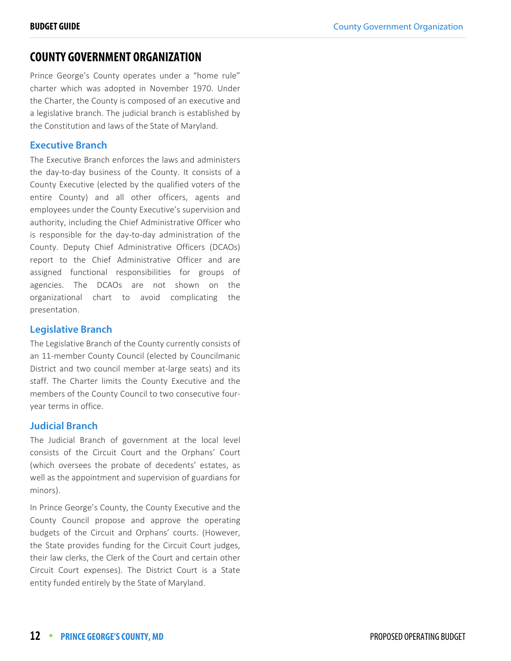## <span id="page-11-0"></span>**COUNTY GOVERNMENT ORGANIZATION**

Prince George's County operates under a "home rule" charter which was adopted in November 1970. Under the Charter, the County is composed of an executive and a legislative branch. The judicial branch is established by the Constitution and laws of the State of Maryland.

#### **Executive Branch**

The Executive Branch enforces the laws and administers the day-to-day business of the County. It consists of a County Executive (elected by the qualified voters of the entire County) and all other officers, agents and employees under the County Executive's supervision and authority, including the Chief Administrative Officer who is responsible for the day-to-day administration of the County. Deputy Chief Administrative Officers (DCAOs) report to the Chief Administrative Officer and are assigned functional responsibilities for groups of agencies. The DCAOs are not shown on the organizational chart to avoid complicating the presentation.

#### **Legislative Branch**

The Legislative Branch of the County currently consists of an 11-member County Council (elected by Councilmanic District and two council member at-large seats) and its staff. The Charter limits the County Executive and the members of the County Council to two consecutive fouryear terms in office.

#### **Judicial Branch**

The Judicial Branch of government at the local level consists of the Circuit Court and the Orphans' Court (which oversees the probate of decedents' estates, as well as the appointment and supervision of guardians for minors).

In Prince George's County, the County Executive and the County Council propose and approve the operating budgets of the Circuit and Orphans' courts. (However, the State provides funding for the Circuit Court judges, their law clerks, the Clerk of the Court and certain other Circuit Court expenses). The District Court is a State entity funded entirely by the State of Maryland.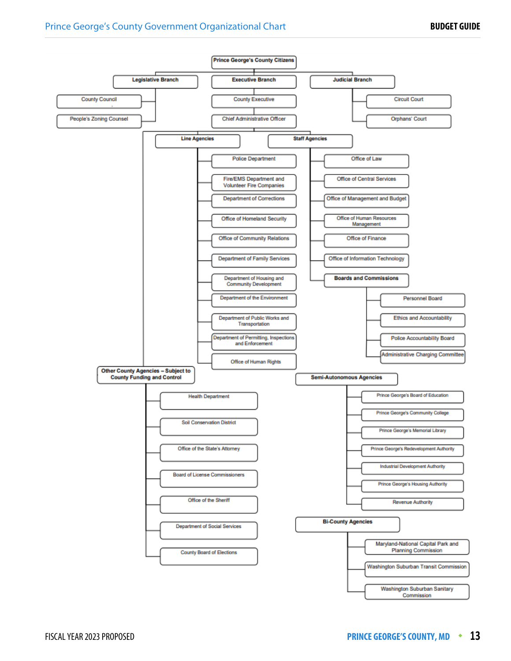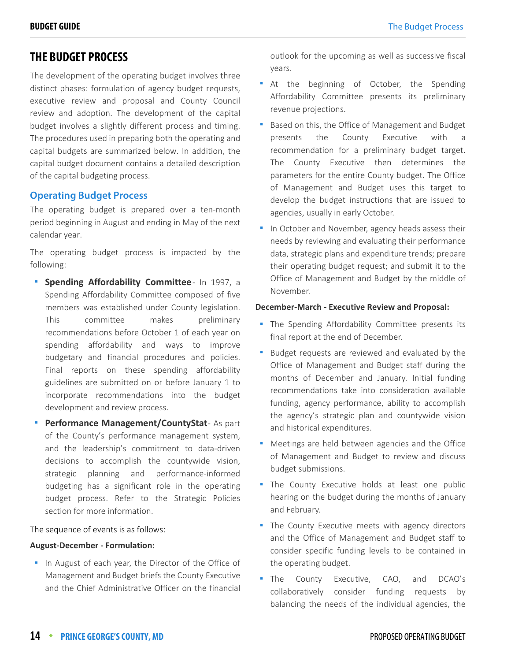## <span id="page-13-0"></span>**THE BUDGET PROCESS**

The development of the operating budget involves three distinct phases: formulation of agency budget requests, executive review and proposal and County Council review and adoption. The development of the capital budget involves a slightly different process and timing. The procedures used in preparing both the operating and capital budgets are summarized below. In addition, the capital budget document contains a detailed description of the capital budgeting process.

#### **Operating Budget Process**

The operating budget is prepared over a ten-month period beginning in August and ending in May of the next calendar year.

The operating budget process is impacted by the following:

- **Spending Affordability Committee** In 1997, a Spending Affordability Committee composed of five members was established under County legislation. This committee makes preliminary recommendations before October 1 of each year on spending affordability and ways to improve budgetary and financial procedures and policies. Final reports on these spending affordability guidelines are submitted on or before January 1 to incorporate recommendations into the budget development and review process.
- **Performance Management/CountyStat** As part of the County's performance management system, and the leadership's commitment to data-driven decisions to accomplish the countywide vision, strategic planning and performance-informed budgeting has a significant role in the operating budget process. Refer to the Strategic Policies section for more information.

The sequence of events is as follows:

#### **August-December - Formulation:**

In August of each year, the Director of the Office of Management and Budget briefs the County Executive and the Chief Administrative Officer on the financial outlook for the upcoming as well as successive fiscal years.

- **At the beginning of October, the Spending** Affordability Committee presents its preliminary revenue projections.
- Based on this, the Office of Management and Budget presents the County Executive with a recommendation for a preliminary budget target. The County Executive then determines the parameters for the entire County budget. The Office of Management and Budget uses this target to develop the budget instructions that are issued to agencies, usually in early October.
- **In October and November, agency heads assess their** needs by reviewing and evaluating their performance data, strategic plans and expenditure trends; prepare their operating budget request; and submit it to the Office of Management and Budget by the middle of November.

#### **December-March - Executive Review and Proposal:**

- The Spending Affordability Committee presents its final report at the end of December.
- Budget requests are reviewed and evaluated by the Office of Management and Budget staff during the months of December and January. Initial funding recommendations take into consideration available funding, agency performance, ability to accomplish the agency's strategic plan and countywide vision and historical expenditures.
- Meetings are held between agencies and the Office of Management and Budget to review and discuss budget submissions.
- **The County Executive holds at least one public** hearing on the budget during the months of January and February.
- The County Executive meets with agency directors and the Office of Management and Budget staff to consider specific funding levels to be contained in the operating budget.
- The County Executive, CAO, and DCAO's collaboratively consider funding requests by balancing the needs of the individual agencies, the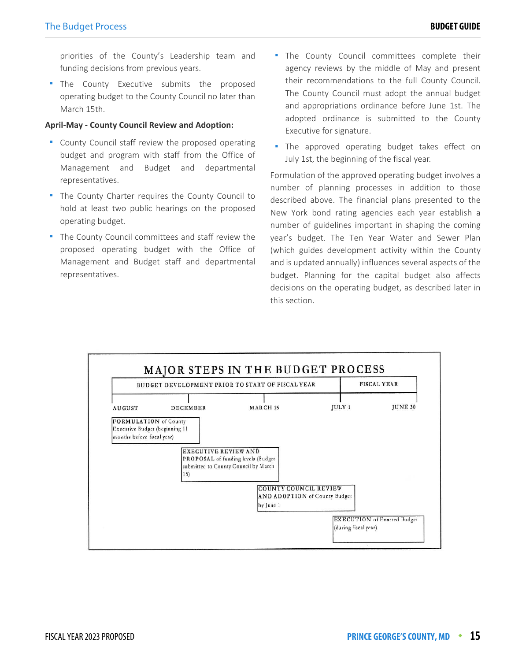priorities of the County's Leadership team and funding decisions from previous years.

**-** The County Executive submits the proposed operating budget to the County Council no later than March 15th.

#### **April-May - County Council Review and Adoption:**

- County Council staff review the proposed operating budget and program with staff from the Office of Management and Budget and departmental representatives.
- The County Charter requires the County Council to hold at least two public hearings on the proposed operating budget.
- The County Council committees and staff review the proposed operating budget with the Office of Management and Budget staff and departmental representatives.
- **The County Council committees complete their** agency reviews by the middle of May and present their recommendations to the full County Council. The County Council must adopt the annual budget and appropriations ordinance before June 1st. The adopted ordinance is submitted to the County Executive for signature.
- **The approved operating budget takes effect on** July 1st, the beginning of the fiscal year.

Formulation of the approved operating budget involves a number of planning processes in addition to those described above. The financial plans presented to the New York bond rating agencies each year establish a number of guidelines important in shaping the coming year's budget. The Ten Year Water and Sewer Plan (which guides development activity within the County and is updated annually) influences several aspects of the budget. Planning for the capital budget also affects decisions on the operating budget, as described later in this section.

| BUDGET DEVELOPMENT PRIOR TO START OF FISCAL YEAR        |                             |                                                                            |        | <b>FISCAL YEAR</b> |  |
|---------------------------------------------------------|-----------------------------|----------------------------------------------------------------------------|--------|--------------------|--|
| AUGUST                                                  | <b>DECEMBER</b>             | MARCH 15                                                                   | JULY 1 | <b>JUNE 30</b>     |  |
| FORMULATION of County<br>Executive Budget (beginning 11 |                             |                                                                            |        |                    |  |
| months before fiscal year)                              |                             |                                                                            |        |                    |  |
|                                                         | <b>EXECUTIVE REVIEW AND</b> |                                                                            |        |                    |  |
|                                                         |                             | PROPOSAL of funding levels (Budget<br>submitted to County Council by March |        |                    |  |
|                                                         | 15)                         |                                                                            |        |                    |  |
|                                                         |                             | COUNTY COUNCIL REVIEW<br>AND ADOPTION of County Budget                     |        |                    |  |
|                                                         |                             | by June 1                                                                  |        |                    |  |
|                                                         |                             |                                                                            |        |                    |  |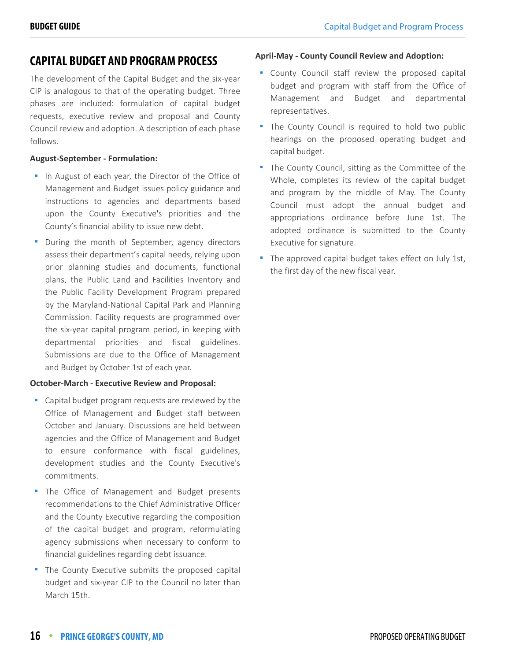## <span id="page-15-0"></span>**CAPITAL BUDGET AND PROGRAM PROCESS**

The development of the Capital Budget and the six-year CIP is analogous to that of the operating budget. Three phases are included: formulation of capital budget requests, executive review and proposal and County Council review and adoption. A description of each phase follows.

#### **August-September - Formulation:**

- In August of each year, the Director of the Office of Management and Budget issues policy guidance and instructions to agencies and departments based upon the County Executive's priorities and the County's financial ability to issue new debt.
- During the month of September, agency directors assess their department's capital needs, relying upon prior planning studies and documents, functional plans, the Public Land and Facilities Inventory and the Public Facility Development Program prepared by the Maryland-National Capital Park and Planning Commission. Facility requests are programmed over the six-year capital program period, in keeping with departmental priorities and fiscal guidelines. Submissions are due to the Office of Management and Budget by October 1st of each year.

#### **October-March - Executive Review and Proposal:**

- Capital budget program requests are reviewed by the Office of Management and Budget staff between October and January. Discussions are held between agencies and the Office of Management and Budget to ensure conformance with fiscal guidelines, development studies and the County Executive's commitments.
- The Office of Management and Budget presents recommendations to the Chief Administrative Officer and the County Executive regarding the composition of the capital budget and program, reformulating agency submissions when necessary to conform to financial guidelines regarding debt issuance.
- The County Executive submits the proposed capital budget and six-year CIP to the Council no later than March 15th.

#### **April-May - County Council Review and Adoption:**

- County Council staff review the proposed capital budget and program with staff from the Office of Management and Budget and departmental representatives.
- The County Council is required to hold two public hearings on the proposed operating budget and capital budget.
- The County Council, sitting as the Committee of the Whole, completes its review of the capital budget and program by the middle of May. The County Council must adopt the annual budget and appropriations ordinance before June 1st. The adopted ordinance is submitted to the County Executive for signature.
- The approved capital budget takes effect on July 1st, the first day of the new fiscal year.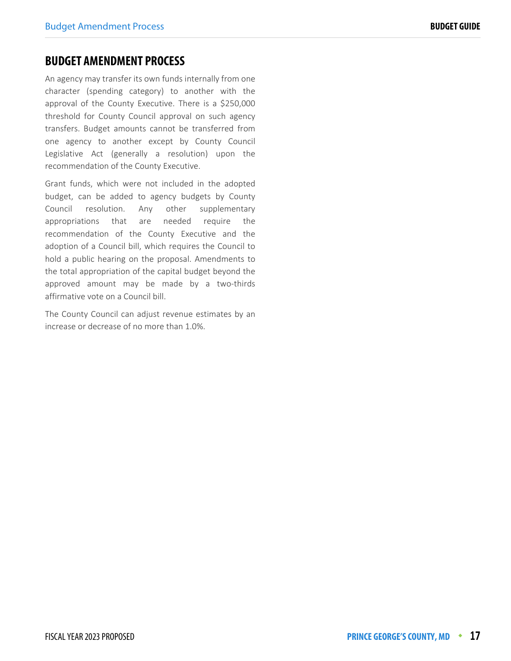## <span id="page-16-0"></span>**BUDGET AMENDMENT PROCESS**

An agency may transfer its own funds internally from one character (spending category) to another with the approval of the County Executive. There is a \$250,000 threshold for County Council approval on such agency transfers. Budget amounts cannot be transferred from one agency to another except by County Council Legislative Act (generally a resolution) upon the recommendation of the County Executive.

Grant funds, which were not included in the adopted budget, can be added to agency budgets by County Council resolution. Any other supplementary appropriations that are needed require the recommendation of the County Executive and the adoption of a Council bill, which requires the Council to hold a public hearing on the proposal. Amendments to the total appropriation of the capital budget beyond the approved amount may be made by a two-thirds affirmative vote on a Council bill.

The County Council can adjust revenue estimates by an increase or decrease of no more than 1.0%.